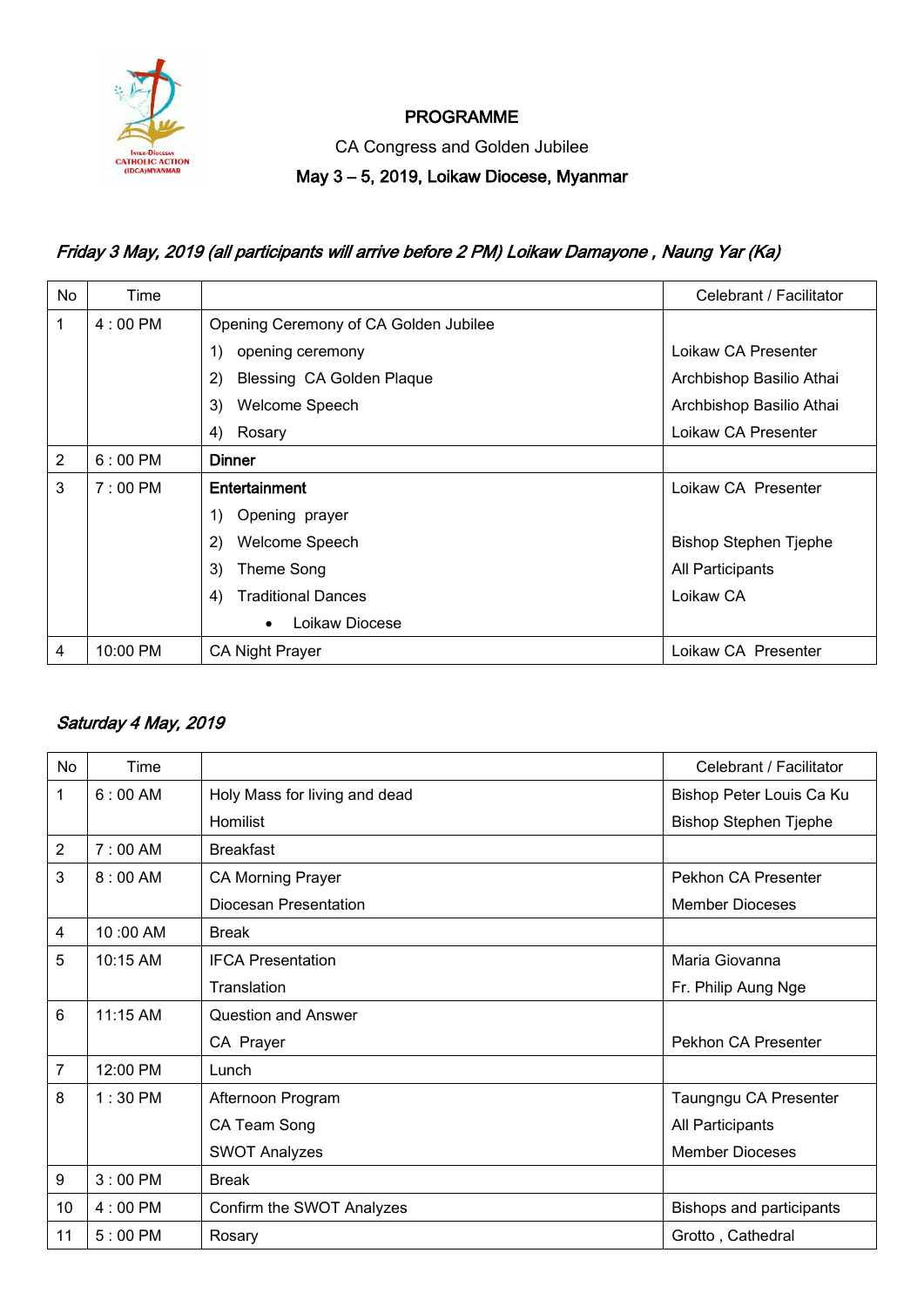

### PROGRAMME

CA Congress and Golden Jubilee

#### May 3 – 5, 2019, Loikaw Diocese, Myanmar

# Friday 3 May, 2019 (all participants will arrive before 2 PM) Loikaw Damayone , Naung Yar (Ka)

| No | Time              |                                       | Celebrant / Facilitator      |
|----|-------------------|---------------------------------------|------------------------------|
| 1  | $4:00 \text{ PM}$ | Opening Ceremony of CA Golden Jubilee |                              |
|    |                   | 1)<br>opening ceremony                | Loikaw CA Presenter          |
|    |                   | 2)<br>Blessing CA Golden Plaque       | Archbishop Basilio Athai     |
|    |                   | 3)<br>Welcome Speech                  | Archbishop Basilio Athai     |
|    |                   | 4)<br>Rosary                          | Loikaw CA Presenter          |
| 2  | $6:00 \text{ PM}$ | <b>Dinner</b>                         |                              |
| 3  | $7:00 \text{ PM}$ | Entertainment                         | Loikaw CA Presenter          |
|    |                   | Opening prayer<br>1)                  |                              |
|    |                   | 2)<br>Welcome Speech                  | <b>Bishop Stephen Tjephe</b> |
|    |                   | 3)<br>Theme Song                      | All Participants             |
|    |                   | <b>Traditional Dances</b><br>4)       | Loikaw CA                    |
|    |                   | Loikaw Diocese<br>$\bullet$           |                              |
| 4  | 10:00 PM          | <b>CA Night Prayer</b>                | Loikaw CA Presenter          |

#### Saturday 4 May, 2019

| No             | Time              |                               | Celebrant / Facilitator      |
|----------------|-------------------|-------------------------------|------------------------------|
| 1              | 6:00 AM           | Holy Mass for living and dead | Bishop Peter Louis Ca Ku     |
|                |                   | Homilist                      | <b>Bishop Stephen Tjephe</b> |
| $\overline{2}$ | $7:00$ AM         | <b>Breakfast</b>              |                              |
| 3              | $8:00$ AM         | <b>CA Morning Prayer</b>      | Pekhon CA Presenter          |
|                |                   | Diocesan Presentation         | <b>Member Dioceses</b>       |
| 4              | 10:00 AM          | <b>Break</b>                  |                              |
| 5              | $10:15$ AM        | <b>IFCA Presentation</b>      | Maria Giovanna               |
|                |                   | Translation                   | Fr. Philip Aung Nge          |
| 6              | $11:15$ AM        | Question and Answer           |                              |
|                |                   | CA Prayer                     | Pekhon CA Presenter          |
| 7              | 12:00 PM          | Lunch                         |                              |
| 8              | $1:30$ PM         | Afternoon Program             | Taungngu CA Presenter        |
|                |                   | CA Team Song                  | All Participants             |
|                |                   | <b>SWOT Analyzes</b>          | <b>Member Dioceses</b>       |
| 9              | $3:00$ PM         | <b>Break</b>                  |                              |
| 10             | $4:00 \text{ PM}$ | Confirm the SWOT Analyzes     | Bishops and participants     |
| 11             | $5:00$ PM         | Rosary                        | Grotto, Cathedral            |